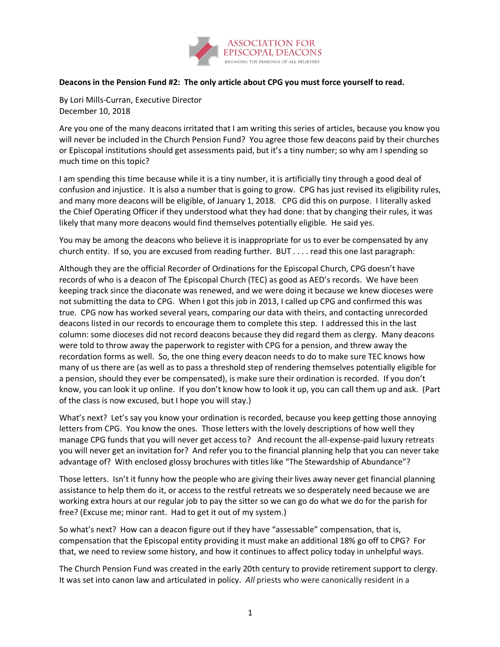

## **Deacons in the Pension Fund #2: The only article about CPG you must force yourself to read.**

By Lori Mills-Curran, Executive Director December 10, 2018

Are you one of the many deacons irritated that I am writing this series of articles, because you know you will never be included in the Church Pension Fund? You agree those few deacons paid by their churches or Episcopal institutions should get assessments paid, but it's a tiny number; so why am I spending so much time on this topic?

I am spending this time because while it is a tiny number, it is artificially tiny through a good deal of confusion and injustice. It is also a number that is going to grow. CPG has just revised its eligibility rules, and many more deacons will be eligible, of January 1, 2018. CPG did this on purpose. I literally asked the Chief Operating Officer if they understood what they had done: that by changing their rules, it was likely that many more deacons would find themselves potentially eligible. He said yes.

You may be among the deacons who believe it is inappropriate for us to ever be compensated by any church entity. If so, you are excused from reading further. BUT . . . . read this one last paragraph:

Although they are the official Recorder of Ordinations for the Episcopal Church, CPG doesn't have records of who is a deacon of The Episcopal Church (TEC) as good as AED's records. We have been keeping track since the diaconate was renewed, and we were doing it because we knew dioceses were not submitting the data to CPG. When I got this job in 2013, I called up CPG and confirmed this was true. CPG now has worked several years, comparing our data with theirs, and contacting unrecorded deacons listed in our records to encourage them to complete this step. I addressed this in the last column: some dioceses did not record deacons because they did regard them as clergy. Many deacons were told to throw away the paperwork to register with CPG for a pension, and threw away the recordation forms as well. So, the one thing every deacon needs to do to make sure TEC knows how many of us there are (as well as to pass a threshold step of rendering themselves potentially eligible for a pension, should they ever be compensated), is make sure their ordination is recorded. If you don't know, you can look it up online. If you don't know how to look it up, you can call them up and ask. (Part of the class is now excused, but I hope you will stay.)

What's next? Let's say you know your ordination is recorded, because you keep getting those annoying letters from CPG. You know the ones. Those letters with the lovely descriptions of how well they manage CPG funds that you will never get access to? And recount the all-expense-paid luxury retreats you will never get an invitation for? And refer you to the financial planning help that you can never take advantage of? With enclosed glossy brochures with titles like "The Stewardship of Abundance"?

Those letters. Isn't it funny how the people who are giving their lives away never get financial planning assistance to help them do it, or access to the restful retreats we so desperately need because we are working extra hours at our regular job to pay the sitter so we can go do what we do for the parish for free? (Excuse me; minor rant. Had to get it out of my system.)

So what's next? How can a deacon figure out if they have "assessable" compensation, that is, compensation that the Episcopal entity providing it must make an additional 18% go off to CPG? For that, we need to review some history, and how it continues to affect policy today in unhelpful ways.

The Church Pension Fund was created in the early 20th century to provide retirement support to clergy. It was set into canon law and articulated in policy. *All* priests who were canonically resident in a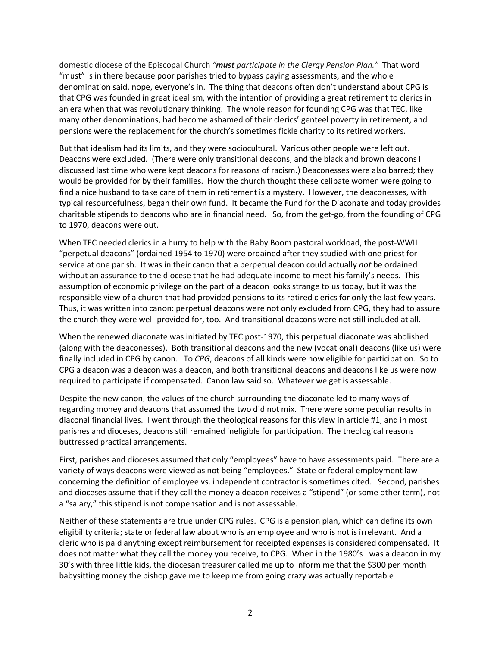domestic diocese of the Episcopal Church *"must participate in the Clergy Pension Plan."* That word "must" is in there because poor parishes tried to bypass paying assessments, and the whole denomination said, nope, everyone's in. The thing that deacons often don't understand about CPG is that CPG was founded in great idealism, with the intention of providing a great retirement to clerics in an era when that was revolutionary thinking. The whole reason for founding CPG was that TEC, like many other denominations, had become ashamed of their clerics' genteel poverty in retirement, and pensions were the replacement for the church's sometimes fickle charity to its retired workers.

But that idealism had its limits, and they were sociocultural. Various other people were left out. Deacons were excluded. (There were only transitional deacons, and the black and brown deacons I discussed last time who were kept deacons for reasons of racism.) Deaconesses were also barred; they would be provided for by their families. How the church thought these celibate women were going to find a nice husband to take care of them in retirement is a mystery. However, the deaconesses, with typical resourcefulness, began their own fund. It became the Fund for the Diaconate and today provides charitable stipends to deacons who are in financial need. So, from the get-go, from the founding of CPG to 1970, deacons were out.

When TEC needed clerics in a hurry to help with the Baby Boom pastoral workload, the post-WWII "perpetual deacons" (ordained 1954 to 1970) were ordained after they studied with one priest for service at one parish. It was in their canon that a perpetual deacon could actually *not* be ordained without an assurance to the diocese that he had adequate income to meet his family's needs. This assumption of economic privilege on the part of a deacon looks strange to us today, but it was the responsible view of a church that had provided pensions to its retired clerics for only the last few years. Thus, it was written into canon: perpetual deacons were not only excluded from CPG, they had to assure the church they were well-provided for, too. And transitional deacons were not still included at all.

When the renewed diaconate was initiated by TEC post-1970, this perpetual diaconate was abolished (along with the deaconesses). Both transitional deacons and the new (vocational) deacons (like us) were finally included in CPG by canon. To *CPG*, deacons of all kinds were now eligible for participation. So to CPG a deacon was a deacon was a deacon, and both transitional deacons and deacons like us were now required to participate if compensated. Canon law said so. Whatever we get is assessable.

Despite the new canon, the values of the church surrounding the diaconate led to many ways of regarding money and deacons that assumed the two did not mix. There were some peculiar results in diaconal financial lives. I went through the theological reasons for this view in article #1, and in most parishes and dioceses, deacons still remained ineligible for participation. The theological reasons buttressed practical arrangements.

First, parishes and dioceses assumed that only "employees" have to have assessments paid. There are a variety of ways deacons were viewed as not being "employees." State or federal employment law concerning the definition of employee vs. independent contractor is sometimes cited. Second, parishes and dioceses assume that if they call the money a deacon receives a "stipend" (or some other term), not a "salary," this stipend is not compensation and is not assessable.

Neither of these statements are true under CPG rules. CPG is a pension plan, which can define its own eligibility criteria; state or federal law about who is an employee and who is not is irrelevant. And a cleric who is paid anything except reimbursement for receipted expenses is considered compensated. It does not matter what they call the money you receive, to CPG. When in the 1980's I was a deacon in my 30's with three little kids, the diocesan treasurer called me up to inform me that the \$300 per month babysitting money the bishop gave me to keep me from going crazy was actually reportable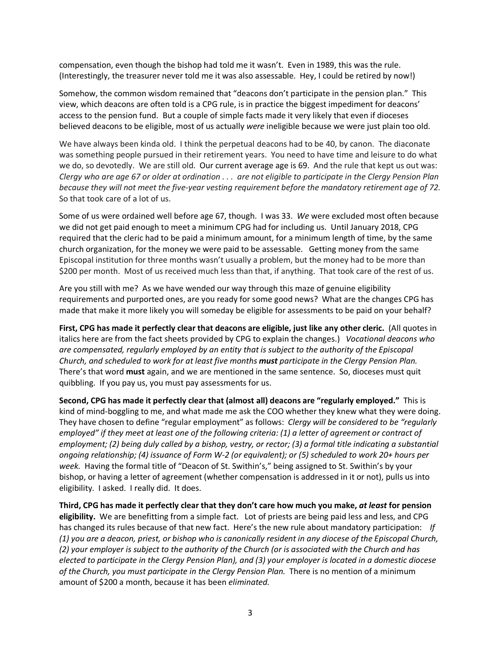compensation, even though the bishop had told me it wasn't. Even in 1989, this was the rule. (Interestingly, the treasurer never told me it was also assessable. Hey, I could be retired by now!)

Somehow, the common wisdom remained that "deacons don't participate in the pension plan." This view, which deacons are often told is a CPG rule, is in practice the biggest impediment for deacons' access to the pension fund. But a couple of simple facts made it very likely that even if dioceses believed deacons to be eligible, most of us actually *were* ineligible because we were just plain too old.

We have always been kinda old. I think the perpetual deacons had to be 40, by canon. The diaconate was something people pursued in their retirement years. You need to have time and leisure to do what we do, so devotedly. We are still old. Our current average age is 69. And the rule that kept us out was: *Clergy who are age 67 or older at ordination . . . are not eligible to participate in the Clergy Pension Plan because they will not meet the five-year vesting requirement before the mandatory retirement age of 72.* So that took care of a lot of us.

Some of us were ordained well before age 67, though. I was 33. *We* were excluded most often because we did not get paid enough to meet a minimum CPG had for including us. Until January 2018, CPG required that the cleric had to be paid a minimum amount, for a minimum length of time, by the same church organization, for the money we were paid to be assessable. Getting money from the same Episcopal institution for three months wasn't usually a problem, but the money had to be more than \$200 per month. Most of us received much less than that, if anything. That took care of the rest of us.

Are you still with me? As we have wended our way through this maze of genuine eligibility requirements and purported ones, are you ready for some good news? What are the changes CPG has made that make it more likely you will someday be eligible for assessments to be paid on your behalf?

**First, CPG has made it perfectly clear that deacons are eligible, just like any other cleric.** (All quotes in italics here are from the fact sheets provided by CPG to explain the changes.) *Vocational deacons who are compensated, regularly employed by an entity that is subject to the authority of the Episcopal Church, and scheduled to work for at least five months must participate in the Clergy Pension Plan.*  There's that word **must** again, and we are mentioned in the same sentence. So, dioceses must quit quibbling. If you pay us, you must pay assessments for us.

**Second, CPG has made it perfectly clear that (almost all) deacons are "regularly employed."** This is kind of mind-boggling to me, and what made me ask the COO whether they knew what they were doing. They have chosen to define "regular employment" as follows: *Clergy will be considered to be "regularly employed" if they meet at least one of the following criteria: (1) a letter of agreement or contract of employment; (2) being duly called by a bishop, vestry, or rector; (3) a formal title indicating a substantial ongoing relationship; (4) issuance of Form W-2 (or equivalent); or (5) scheduled to work 20+ hours per week.* Having the formal title of "Deacon of St. Swithin's," being assigned to St. Swithin's by your bishop, or having a letter of agreement (whether compensation is addressed in it or not), pulls us into eligibility. I asked. I really did. It does.

**Third, CPG has made it perfectly clear that they don't care how much you make,** *at least* **for pension eligibility.** We are benefitting from a simple fact. Lot of priests are being paid less and less, and CPG has changed its rules because of that new fact. Here's the new rule about mandatory participation: *If (1) you are a deacon, priest, or bishop who is canonically resident in any diocese of the Episcopal Church, (2) your employer is subject to the authority of the Church (or is associated with the Church and has elected to participate in the Clergy Pension Plan), and (3) your employer is located in a domestic diocese of the Church, you must participate in the Clergy Pension Plan.* There is no mention of a minimum amount of \$200 a month, because it has been *eliminated.*